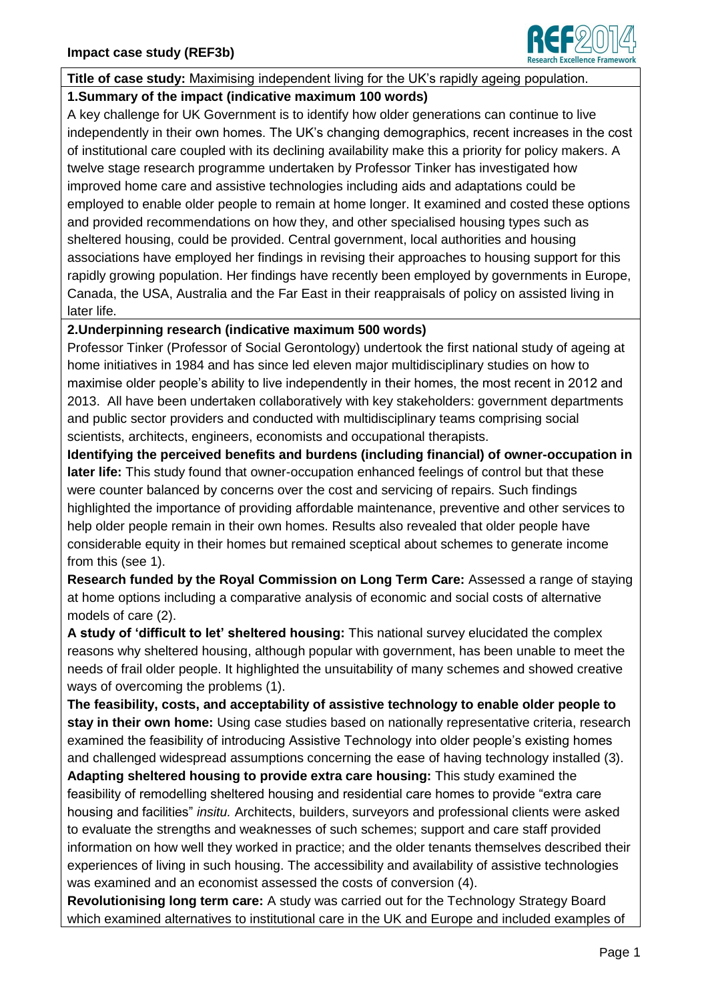

**Title of case study:** Maximising independent living for the UK's rapidly ageing population.

### **1.Summary of the impact (indicative maximum 100 words)**

A key challenge for UK Government is to identify how older generations can continue to live independently in their own homes. The UK's changing demographics, recent increases in the cost of institutional care coupled with its declining availability make this a priority for policy makers. A twelve stage research programme undertaken by Professor Tinker has investigated how improved home care and assistive technologies including aids and adaptations could be employed to enable older people to remain at home longer. It examined and costed these options and provided recommendations on how they, and other specialised housing types such as sheltered housing, could be provided. Central government, local authorities and housing associations have employed her findings in revising their approaches to housing support for this rapidly growing population. Her findings have recently been employed by governments in Europe, Canada, the USA, Australia and the Far East in their reappraisals of policy on assisted living in later life.

### **2.Underpinning research (indicative maximum 500 words)**

Professor Tinker (Professor of Social Gerontology) undertook the first national study of ageing at home initiatives in 1984 and has since led eleven major multidisciplinary studies on how to maximise older people's ability to live independently in their homes, the most recent in 2012 and 2013. All have been undertaken collaboratively with key stakeholders: government departments and public sector providers and conducted with multidisciplinary teams comprising social scientists, architects, engineers, economists and occupational therapists.

**Identifying the perceived benefits and burdens (including financial) of owner-occupation in later life:** This study found that owner-occupation enhanced feelings of control but that these were counter balanced by concerns over the cost and servicing of repairs. Such findings highlighted the importance of providing affordable maintenance, preventive and other services to help older people remain in their own homes. Results also revealed that older people have considerable equity in their homes but remained sceptical about schemes to generate income from this (see 1).

**Research funded by the Royal Commission on Long Term Care:** Assessed a range of staying at home options including a comparative analysis of economic and social costs of alternative models of care (2).

**A study of 'difficult to let' sheltered housing:** This national survey elucidated the complex reasons why sheltered housing, although popular with government, has been unable to meet the needs of frail older people. It highlighted the unsuitability of many schemes and showed creative ways of overcoming the problems (1).

**The feasibility, costs, and acceptability of assistive technology to enable older people to stay in their own home:** Using case studies based on nationally representative criteria, research examined the feasibility of introducing Assistive Technology into older people's existing homes and challenged widespread assumptions concerning the ease of having technology installed (3).

**Adapting sheltered housing to provide extra care housing:** This study examined the feasibility of remodelling sheltered housing and residential care homes to provide "extra care housing and facilities" *insitu.* Architects, builders, surveyors and professional clients were asked to evaluate the strengths and weaknesses of such schemes; support and care staff provided information on how well they worked in practice; and the older tenants themselves described their experiences of living in such housing. The accessibility and availability of assistive technologies was examined and an economist assessed the costs of conversion (4).

**Revolutionising long term care:** A study was carried out for the Technology Strategy Board which examined alternatives to institutional care in the UK and Europe and included examples of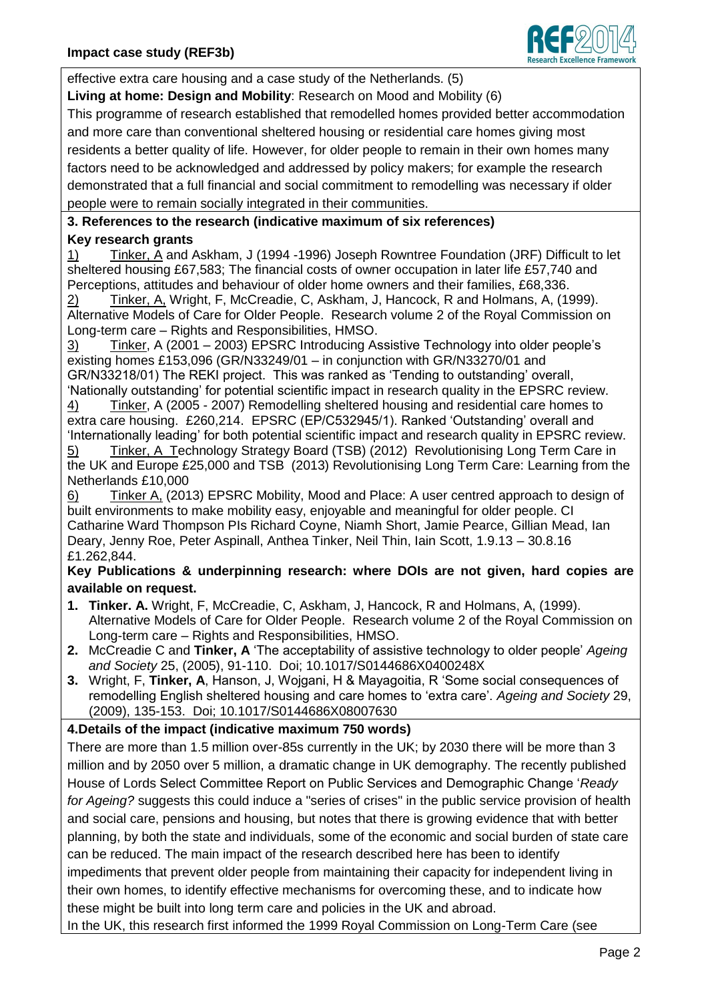

effective extra care housing and a case study of the Netherlands. (5)

**Living at home: Design and Mobility**: Research on Mood and Mobility (6)

This programme of research established that remodelled homes provided better accommodation and more care than conventional sheltered housing or residential care homes giving most residents a better quality of life. However, for older people to remain in their own homes many factors need to be acknowledged and addressed by policy makers; for example the research demonstrated that a full financial and social commitment to remodelling was necessary if older people were to remain socially integrated in their communities.

# **3. References to the research (indicative maximum of six references) Key research grants**

1) Tinker, A and Askham, J (1994 -1996) Joseph Rowntree Foundation (JRF) Difficult to let sheltered housing £67,583; The financial costs of owner occupation in later life £57,740 and Perceptions, attitudes and behaviour of older home owners and their families, £68,336.

2) Tinker, A, Wright, F, McCreadie, C, Askham, J, Hancock, R and Holmans, A, (1999). Alternative Models of Care for Older People. Research volume 2 of the Royal Commission on Long-term care – Rights and Responsibilities, HMSO.

3) Tinker, A (2001 – 2003) EPSRC Introducing Assistive Technology into older people's existing homes £153,096 (GR/N33249/01 – in conjunction with GR/N33270/01 and GR/N33218/01) The REKI project. This was ranked as 'Tending to outstanding' overall, 'Nationally outstanding' for potential scientific impact in research quality in the EPSRC review.

4) Tinker, A (2005 - 2007) Remodelling sheltered housing and residential care homes to extra care housing. £260,214. EPSRC (EP/C532945/1). Ranked 'Outstanding' overall and 'Internationally leading' for both potential scientific impact and research quality in EPSRC review.

5) Tinker, A Technology Strategy Board (TSB) (2012) Revolutionising Long Term Care in the UK and Europe £25,000 and TSB (2013) Revolutionising Long Term Care: Learning from the Netherlands £10,000

6) Tinker A, (2013) EPSRC Mobility, Mood and Place: A user centred approach to design of built environments to make mobility easy, enjoyable and meaningful for older people. CI Catharine Ward Thompson PIs Richard Coyne, Niamh Short, Jamie Pearce, Gillian Mead, Ian Deary, Jenny Roe, Peter Aspinall, Anthea Tinker, Neil Thin, Iain Scott, 1.9.13 – 30.8.16 £1.262,844.

## **Key Publications & underpinning research: where DOIs are not given, hard copies are available on request.**

- **1. Tinker. A.** Wright, F, McCreadie, C, Askham, J, Hancock, R and Holmans, A, (1999). Alternative Models of Care for Older People. Research volume 2 of the Royal Commission on Long-term care – Rights and Responsibilities, HMSO.
- **2.** McCreadie C and **Tinker, A** 'The acceptability of assistive technology to older people' *Ageing and Society* 25, (2005), 91-110. Doi; 10.1017/S0144686X0400248X
- **3.** Wright, F, **Tinker, A**, Hanson, J, Wojgani, H & Mayagoitia, R 'Some social consequences of remodelling English sheltered housing and care homes to 'extra care'. *Ageing and Society* 29, (2009), 135-153. Doi; 10.1017/S0144686X08007630

## **4.Details of the impact (indicative maximum 750 words)**

There are more than 1.5 million over-85s currently in the UK; by 2030 there will be more than 3 million and by 2050 over 5 million, a dramatic change in UK demography. The recently published House of Lords Select Committee Report on Public Services and Demographic Change '*Ready for Ageing?* suggests this could induce a "series of crises" in the public service provision of health and social care, pensions and housing, but notes that there is growing evidence that with better planning, by both the state and individuals, some of the economic and social burden of state care can be reduced. The main impact of the research described here has been to identify impediments that prevent older people from maintaining their capacity for independent living in their own homes, to identify effective mechanisms for overcoming these, and to indicate how these might be built into long term care and policies in the UK and abroad.

In the UK, this research first informed the 1999 Royal Commission on Long-Term Care (see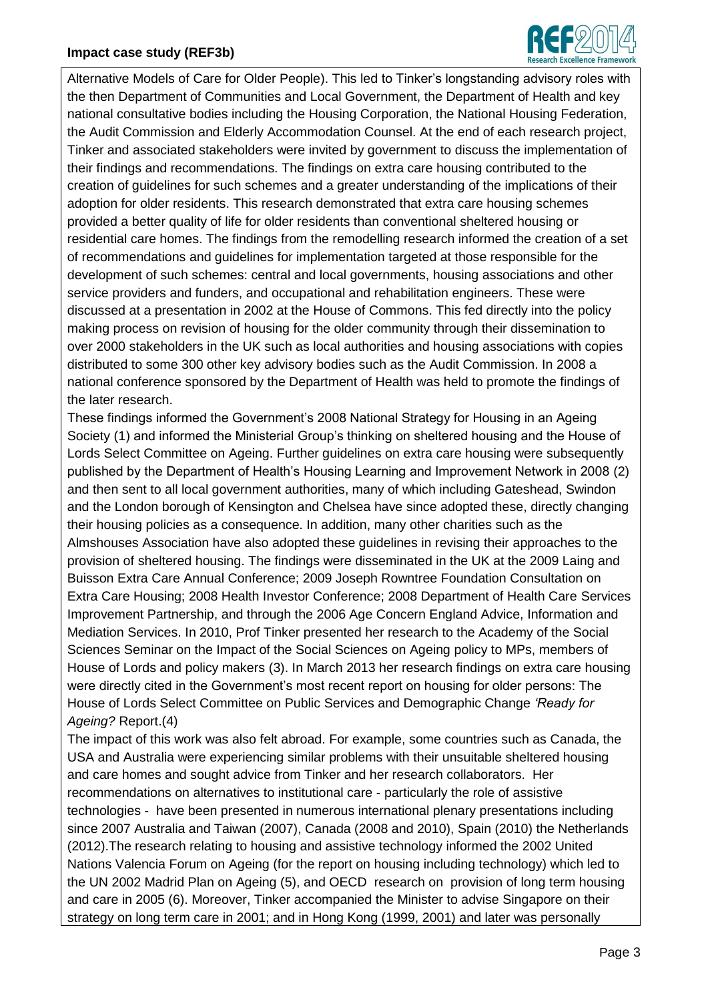

Alternative Models of Care for Older People). This led to Tinker's longstanding advisory roles with the then Department of Communities and Local Government, the Department of Health and key national consultative bodies including the Housing Corporation, the National Housing Federation, the Audit Commission and Elderly Accommodation Counsel. At the end of each research project, Tinker and associated stakeholders were invited by government to discuss the implementation of their findings and recommendations. The findings on extra care housing contributed to the creation of guidelines for such schemes and a greater understanding of the implications of their adoption for older residents. This research demonstrated that extra care housing schemes provided a better quality of life for older residents than conventional sheltered housing or residential care homes. The findings from the remodelling research informed the creation of a set of recommendations and guidelines for implementation targeted at those responsible for the development of such schemes: central and local governments, housing associations and other service providers and funders, and occupational and rehabilitation engineers. These were discussed at a presentation in 2002 at the House of Commons. This fed directly into the policy making process on revision of housing for the older community through their dissemination to over 2000 stakeholders in the UK such as local authorities and housing associations with copies distributed to some 300 other key advisory bodies such as the Audit Commission. In 2008 a national conference sponsored by the Department of Health was held to promote the findings of the later research.

These findings informed the Government's 2008 National Strategy for Housing in an Ageing Society (1) and informed the Ministerial Group's thinking on sheltered housing and the House of Lords Select Committee on Ageing. Further guidelines on extra care housing were subsequently published by the Department of Health's Housing Learning and Improvement Network in 2008 (2) and then sent to all local government authorities, many of which including Gateshead, Swindon and the London borough of Kensington and Chelsea have since adopted these, directly changing their housing policies as a consequence. In addition, many other charities such as the Almshouses Association have also adopted these guidelines in revising their approaches to the provision of sheltered housing. The findings were disseminated in the UK at the 2009 Laing and Buisson Extra Care Annual Conference; 2009 Joseph Rowntree Foundation Consultation on Extra Care Housing; 2008 Health Investor Conference; 2008 Department of Health Care Services Improvement Partnership, and through the 2006 Age Concern England Advice, Information and Mediation Services. In 2010, Prof Tinker presented her research to the Academy of the Social Sciences Seminar on the Impact of the Social Sciences on Ageing policy to MPs, members of House of Lords and policy makers (3). In March 2013 her research findings on extra care housing were directly cited in the Government's most recent report on housing for older persons: The House of Lords Select Committee on Public Services and Demographic Change *'Ready for Ageing?* Report.(4)

The impact of this work was also felt abroad. For example, some countries such as Canada, the USA and Australia were experiencing similar problems with their unsuitable sheltered housing and care homes and sought advice from Tinker and her research collaborators. Her recommendations on alternatives to institutional care - particularly the role of assistive technologies - have been presented in numerous international plenary presentations including since 2007 Australia and Taiwan (2007), Canada (2008 and 2010), Spain (2010) the Netherlands (2012).The research relating to housing and assistive technology informed the 2002 United Nations Valencia Forum on Ageing (for the report on housing including technology) which led to the UN 2002 Madrid Plan on Ageing (5), and OECD research on provision of long term housing and care in 2005 (6). Moreover, Tinker accompanied the Minister to advise Singapore on their strategy on long term care in 2001; and in Hong Kong (1999, 2001) and later was personally